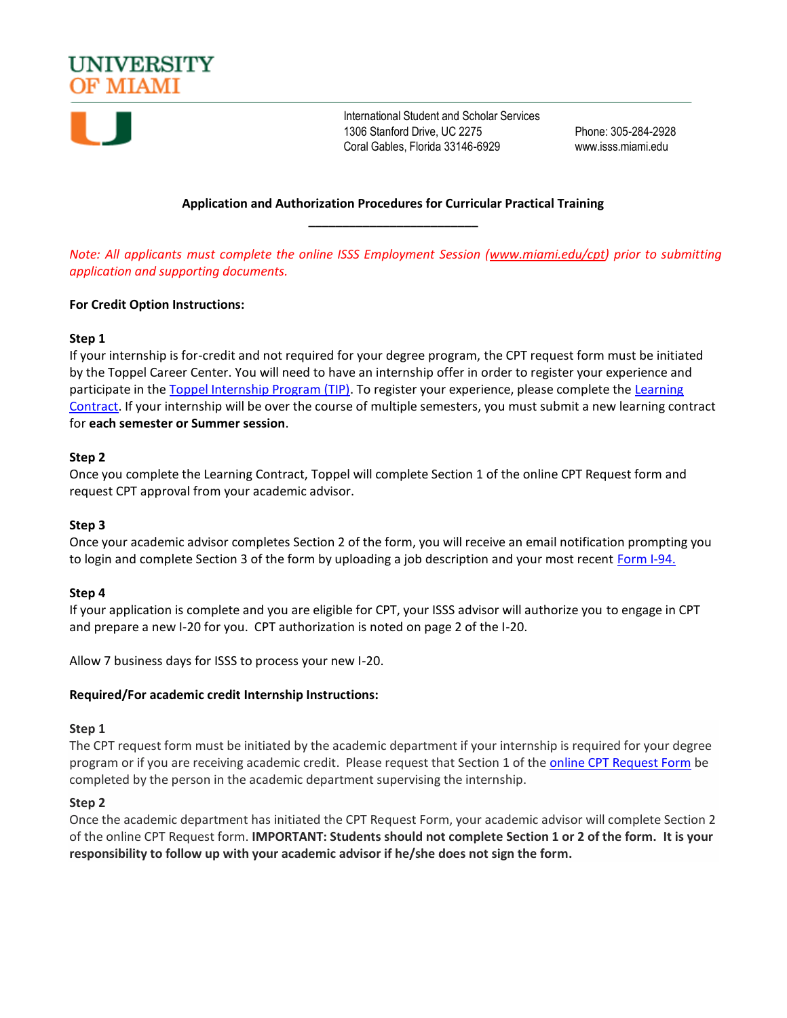



International Student and Scholar Services 1306 Stanford Drive, UC 2275 Phone: 305-284-2928 Coral Gables, Florida 33146-6929 www.isss.miami.edu

# **Application and Authorization Procedures for Curricular Practical Training \_\_\_\_\_\_\_\_\_\_\_\_\_\_\_\_\_\_\_\_\_\_\_\_\_**

*Note: All applicants must complete the online ISSS Employment Session [\(www.miami.edu/cpt\)](www.miami.edu/cpt) prior to submitting application and supporting documents.*

# **For Credit Option Instructions:**

# **Step 1**

If your internship is for-credit and not required for your degree program, the CPT request form must be initiated by the Toppel Career Center. You will need to have an internship offer in order to register your experience and participate in the [Toppel Internship Program \(TIP\).](https://hireacane.miami.edu/gain-experience/tip/index.html) To register your experience, please complete the [Learning](https://umiami.qualtrics.com/jfe/form/SV_e5qJdynI9xgs8gl)  [Contract.](https://umiami.qualtrics.com/jfe/form/SV_e5qJdynI9xgs8gl) If your internship will be over the course of multiple semesters, you must submit a new learning contract for **each semester or Summer session**.

#### **Step 2**

Once you complete the Learning Contract, Toppel will complete Section 1 of the online CPT Request form and request CPT approval from your academic advisor.

#### **Step 3**

Once your academic advisor completes Section 2 of the form, you will receive an email notification prompting you to login and complete Section 3 of the form by uploading a job description and your most recent [Form I-94.](https://i94.cbp.dhs.gov/I94/#/home) 

# **Step 4**

If your application is complete and you are eligible for CPT, your ISSS advisor will authorize you to engage in CPT and prepare a new I-20 for you. CPT authorization is noted on page 2 of the I-20.

Allow 7 business days for ISSS to process your new I-20.

#### **Required/For academic credit Internship Instructions:**

#### **Step 1**

The CPT request form must be initiated by the academic department if your internship is required for your degree program or if you are receiving academic credit. Please request that Section 1 of the [online CPT Request Form](https://qafederation.ngwebsolutions.com/sp/startSSO.ping?PartnerIdpId=https://caneid.miami.edu/idp/shibboleth&TargetResource=https://dynamicforms.ngwebsolutions.com/Submit/Form/Start/ba165b1e-0ae5-42cc-9eac-8c4280ae4b2e) be completed by the person in the academic department supervising the internship.

#### **Step 2**

Once the academic department has initiated the CPT Request Form, your academic advisor will complete Section 2 of the online CPT Request form. **IMPORTANT: Students should not complete Section 1 or 2 of the form. It is your responsibility to follow up with your academic advisor if he/she does not sign the form.**